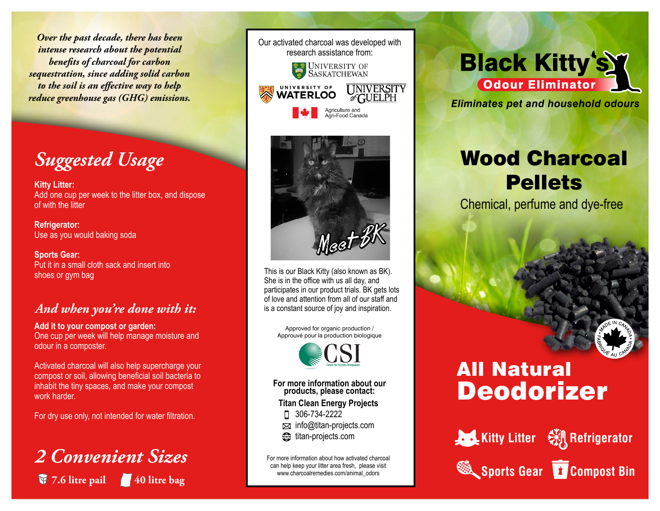*Over the past decade, there has been intense research about the potential benets of charcoal for carbon sequestration, since adding solid carbon* to the soil is an effective way to help *reduce greenhouse gas (GHG) emissions.*

# *Suggested Usage*

**Kitty Litter:** Add one cup per week to the litter box, and dispose of with the litter

**Refrigerator:** Use as you would baking soda

**Sports Gear:** Put it in a small cloth sack and insert into shoes or gym bag

#### *And when you're done with it:*

**Add it to your compost or garden:** One cup per week will help manage moisture and odour in a composter.

Activated charcoal will also help supercharge your compost or soil, allowing beneficial soil bacteria to inhabit the tiny spaces, and make your compost work harder.

For dry use only, not intended for water filtration.

## *2 Convenient Sizes* **7.6 litre pail 40 litre bag**





This is our Black Kitty (also known as BK). She is in the office with us all day, and participates in our product trials. BK gets lots of love and attention from all of our staff and is a constant source of joy and inspiration.

Approved for organic production / Approuvé pour la production biologique



**For more information about our products, please contact:**

 **Titan Clean Energy Projects**

306-734-2222

- **info@titan-projects.com**
- titan-projects.com

For more information about how activated charcoal can help keep your litter area fresh, please visit www.charcoalremedies.com/animal\_odors

### **Black Kitty's Y Odour Eliminator**

*Eliminates pet and household odours*

# Wood Charcoal **Pellets**

Chemical, perfume and dye-free

# Deodorizer All Natural

**Sports Gear T** Compost Bin



**Kitty Litter Will Refrigerator**